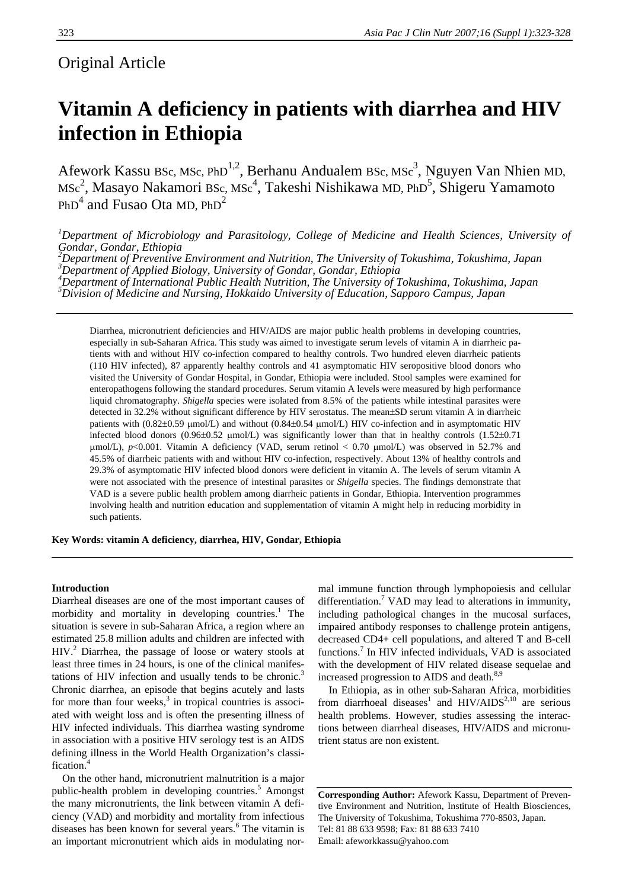# Original Article

# **Vitamin A deficiency in patients with diarrhea and HIV infection in Ethiopia**

Afework Kassu BSc, MSc, PhD<sup>1,2</sup>, Berhanu Andualem BSc, MSc<sup>3</sup>, Nguyen Van Nhien MD, MSc<sup>2</sup>, Masayo Nakamori BSc, MSc<sup>4</sup>, Takeshi Nishikawa MD, PhD<sup>5</sup>, Shigeru Yamamoto  $PhD<sup>4</sup>$  and Fusao Ota MD,  $PhD<sup>2</sup>$ 

*1 Department of Microbiology and Parasitology, College of Medicine and Health Sciences, University of Gondar, Gondar, Ethiopia* 

<sup>2</sup><br>
<sup>2</sup> Department of Preventive Environment and Nutrition, The University of Tokushima, Tokushima, Japan <sup>3</sup><br>
<sup>3</sup> Department of Applied Biology, University of Gondan, Condan, Ethiopia *Department of Applied Biology, University of Gondar, Gondar, Ethiopia 4*

*Department of International Public Health Nutrition, The University of Tokushima, Tokushima, Japan 5 Division of Medicine and Nursing, Hokkaido University of Education, Sapporo Campus, Japan* 

Diarrhea, micronutrient deficiencies and HIV/AIDS are major public health problems in developing countries, especially in sub-Saharan Africa. This study was aimed to investigate serum levels of vitamin A in diarrheic patients with and without HIV co-infection compared to healthy controls. Two hundred eleven diarrheic patients (110 HIV infected), 87 apparently healthy controls and 41 asymptomatic HIV seropositive blood donors who visited the University of Gondar Hospital, in Gondar, Ethiopia were included. Stool samples were examined for enteropathogens following the standard procedures. Serum vitamin A levels were measured by high performance liquid chromatography. *Shigella* species were isolated from 8.5% of the patients while intestinal parasites were detected in 32.2% without significant difference by HIV serostatus. The mean±SD serum vitamin A in diarrheic patients with (0.82±0.59 μmol/L) and without (0.84±0.54 μmol/L) HIV co-infection and in asymptomatic HIV infected blood donors  $(0.96\pm0.52 \mu \text{mol/L})$  was significantly lower than that in healthy controls  $(1.52\pm0.71$ μmol/L), *p*<0.001. Vitamin A deficiency (VAD, serum retinol < 0.70 μmol/L) was observed in 52.7% and 45.5% of diarrheic patients with and without HIV co-infection, respectively. About 13% of healthy controls and 29.3% of asymptomatic HIV infected blood donors were deficient in vitamin A. The levels of serum vitamin A were not associated with the presence of intestinal parasites or *Shigella* species. The findings demonstrate that VAD is a severe public health problem among diarrheic patients in Gondar, Ethiopia. Intervention programmes involving health and nutrition education and supplementation of vitamin A might help in reducing morbidity in such patients.

**Key Words: vitamin A deficiency, diarrhea, HIV, Gondar, Ethiopia** 

#### **Introduction**

Diarrheal diseases are one of the most important causes of morbidity and mortality in developing countries.<sup>1</sup> The situation is severe in sub-Saharan Africa, a region where an estimated 25.8 million adults and children are infected with HIV.<sup>2</sup> Diarrhea, the passage of loose or watery stools at least three times in 24 hours, is one of the clinical manifestations of HIV infection and usually tends to be chronic.<sup>3</sup> Chronic diarrhea, an episode that begins acutely and lasts for more than four weeks, $3$  in tropical countries is associated with weight loss and is often the presenting illness of HIV infected individuals. This diarrhea wasting syndrome in association with a positive HIV serology test is an AIDS defining illness in the World Health Organization's classification.<sup>4</sup>

On the other hand, micronutrient malnutrition is a major public-health problem in developing countries.<sup>5</sup> Amongst the many micronutrients, the link between vitamin A deficiency (VAD) and morbidity and mortality from infectious diseases has been known for several years.<sup>6</sup> The vitamin is an important micronutrient which aids in modulating normal immune function through lymphopoiesis and cellular differentiation.<sup>7</sup> VAD may lead to alterations in immunity, including pathological changes in the mucosal surfaces, impaired antibody responses to challenge protein antigens, decreased CD4+ cell populations, and altered T and B-cell functions.<sup>7</sup> In HIV infected individuals, VAD is associated with the development of HIV related disease sequelae and increased progression to AIDS and death.<sup>8,9</sup>

In Ethiopia, as in other sub-Saharan Africa, morbidities from diarrhoeal diseases<sup>1</sup> and  $HIV/ALDS<sup>2,10</sup>$  are serious health problems. However, studies assessing the interactions between diarrheal diseases, HIV/AIDS and micronutrient status are non existent.

**Corresponding Author:** Afework Kassu, Department of Preventive Environment and Nutrition, Institute of Health Biosciences, The University of Tokushima, Tokushima 770-8503, Japan. Tel: 81 88 633 9598; Fax: 81 88 633 7410 Email: afeworkkassu@yahoo.com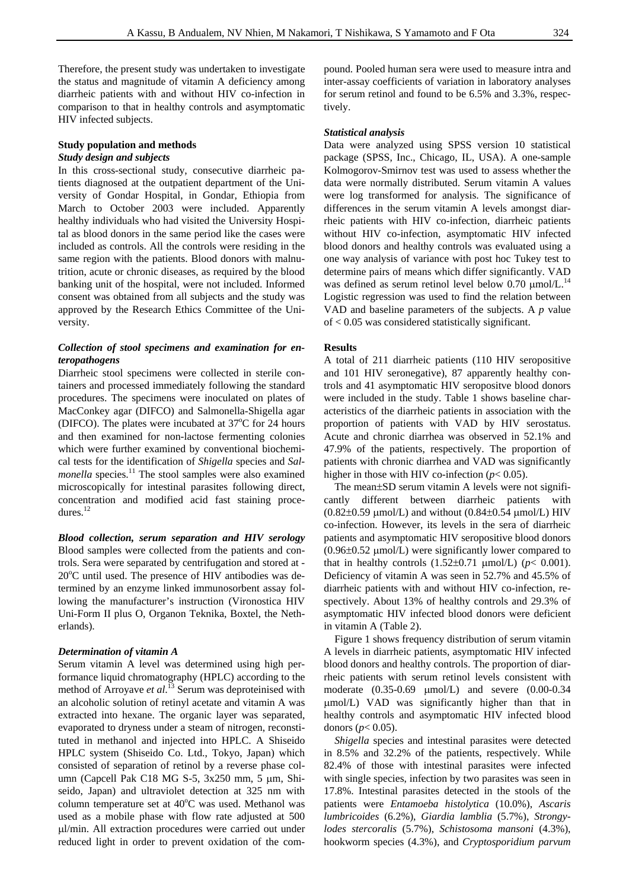Therefore, the present study was undertaken to investigate the status and magnitude of vitamin A deficiency among diarrheic patients with and without HIV co-infection in comparison to that in healthy controls and asymptomatic HIV infected subjects.

## **Study population and methods**  *Study design and subjects*

In this cross-sectional study, consecutive diarrheic patients diagnosed at the outpatient department of the University of Gondar Hospital, in Gondar, Ethiopia from March to October 2003 were included. Apparently healthy individuals who had visited the University Hospital as blood donors in the same period like the cases were included as controls. All the controls were residing in the same region with the patients. Blood donors with malnutrition, acute or chronic diseases, as required by the blood banking unit of the hospital, were not included. Informed consent was obtained from all subjects and the study was approved by the Research Ethics Committee of the University.

### *Collection of stool specimens and examination for enteropathogens*

Diarrheic stool specimens were collected in sterile containers and processed immediately following the standard procedures. The specimens were inoculated on plates of MacConkey agar (DIFCO) and Salmonella-Shigella agar (DIFCO). The plates were incubated at  $37^{\circ}$ C for 24 hours and then examined for non-lactose fermenting colonies which were further examined by conventional biochemical tests for the identification of *Shigella* species and *Salmonella* species.<sup>11</sup> The stool samples were also examined microscopically for intestinal parasites following direct, concentration and modified acid fast staining procedures.<sup>12</sup>

*Blood collection, serum separation and HIV serology* Blood samples were collected from the patients and controls. Sera were separated by centrifugation and stored at - 20°C until used. The presence of HIV antibodies was determined by an enzyme linked immunosorbent assay following the manufacturer's instruction (Vironostica HIV Uni-Form II plus O, Organon Teknika, Boxtel, the Netherlands).

#### *Determination of vitamin A*

Serum vitamin A level was determined using high performance liquid chromatography (HPLC) according to the method of Arroyave *et al*. 13 Serum was deproteinised with an alcoholic solution of retinyl acetate and vitamin A was extracted into hexane. The organic layer was separated, evaporated to dryness under a steam of nitrogen, reconstituted in methanol and injected into HPLC. A Shiseido HPLC system (Shiseido Co. Ltd., Tokyo, Japan) which consisted of separation of retinol by a reverse phase column (Capcell Pak C18 MG S-5, 3x250 mm, 5 μm, Shiseido, Japan) and ultraviolet detection at 325 nm with column temperature set at 40°C was used. Methanol was used as a mobile phase with flow rate adjusted at 500 μl/min. All extraction procedures were carried out under reduced light in order to prevent oxidation of the compound. Pooled human sera were used to measure intra and inter-assay coefficients of variation in laboratory analyses for serum retinol and found to be 6.5% and 3.3%, respectively.

#### *Statistical analysis*

Data were analyzed using SPSS version 10 statistical package (SPSS, Inc., Chicago, IL, USA). A one-sample Kolmogorov-Smirnov test was used to assess whether the data were normally distributed. Serum vitamin A values were log transformed for analysis. The significance of differences in the serum vitamin A levels amongst diarrheic patients with HIV co-infection, diarrheic patients without HIV co-infection, asymptomatic HIV infected blood donors and healthy controls was evaluated using a one way analysis of variance with post hoc Tukey test to determine pairs of means which differ significantly. VAD was defined as serum retinol level below 0.70  $\mu$ mol/L.<sup>14</sup> Logistic regression was used to find the relation between VAD and baseline parameters of the subjects. A *p* value of < 0.05 was considered statistically significant.

#### **Results**

A total of 211 diarrheic patients (110 HIV seropositive and 101 HIV seronegative), 87 apparently healthy controls and 41 asymptomatic HIV seropositve blood donors were included in the study. Table 1 shows baseline characteristics of the diarrheic patients in association with the proportion of patients with VAD by HIV serostatus. Acute and chronic diarrhea was observed in 52.1% and 47.9% of the patients, respectively. The proportion of patients with chronic diarrhea and VAD was significantly higher in those with HIV co-infection  $(p< 0.05)$ .

The mean±SD serum vitamin A levels were not significantly different between diarrheic patients with  $(0.82\pm0.59 \text{ }\mu\text{mol/L})$  and without  $(0.84\pm0.54 \text{ }\mu\text{mol/L})$  HIV co-infection. However, its levels in the sera of diarrheic patients and asymptomatic HIV seropositive blood donors (0.96±0.52 μmol/L) were significantly lower compared to that in healthy controls  $(1.52\pm0.71 \text{ \mu mol/L})$  ( $p < 0.001$ ). Deficiency of vitamin A was seen in 52.7% and 45.5% of diarrheic patients with and without HIV co-infection, respectively. About 13% of healthy controls and 29.3% of asymptomatic HIV infected blood donors were deficient in vitamin A (Table 2).

Figure 1 shows frequency distribution of serum vitamin A levels in diarrheic patients, asymptomatic HIV infected blood donors and healthy controls. The proportion of diarrheic patients with serum retinol levels consistent with moderate (0.35-0.69 μmol/L) and severe (0.00-0.34 μmol/L) VAD was significantly higher than that in healthy controls and asymptomatic HIV infected blood donors ( $p$ < 0.05).

*Shigella* species and intestinal parasites were detected in 8.5% and 32.2% of the patients, respectively. While 82.4% of those with intestinal parasites were infected with single species, infection by two parasites was seen in 17.8%. Intestinal parasites detected in the stools of the patients were *Entamoeba histolytica* (10.0%), *Ascaris lumbricoides* (6.2%), *Giardia lamblia* (5.7%), *Strongylodes stercoralis* (5.7%), *Schistosoma mansoni* (4.3%), hookworm species (4.3%), and *Cryptosporidium parvum*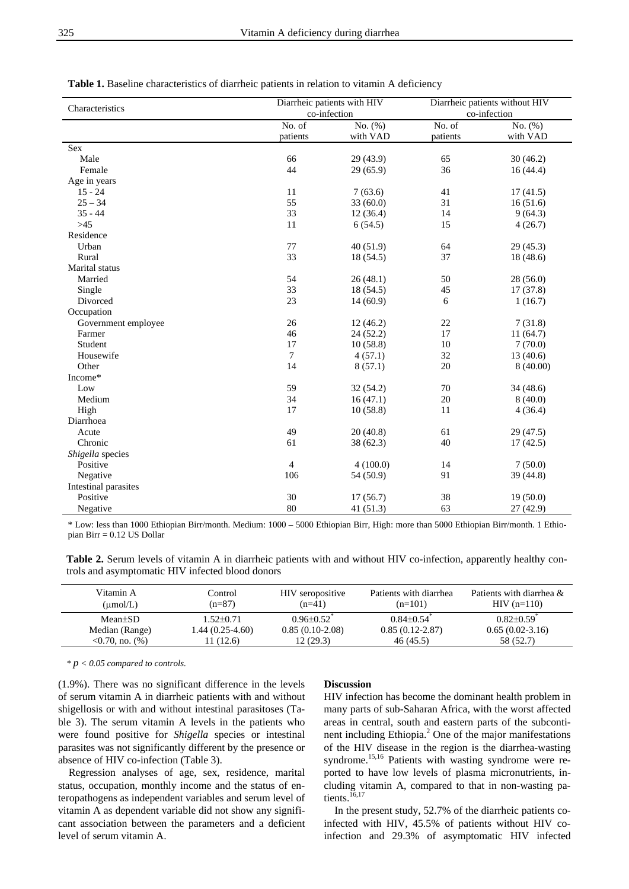|   | I |
|---|---|
| I |   |
| × | v |
| ٠ |   |
|   |   |

| Table 1. Baseline characteristics of diarrheic patients in relation to vitamin A deficiency |  |
|---------------------------------------------------------------------------------------------|--|
|---------------------------------------------------------------------------------------------|--|

| Characteristics      | Diarrheic patients with HIV<br>co-infection |           | Diarrheic patients without HIV<br>co-infection |           |
|----------------------|---------------------------------------------|-----------|------------------------------------------------|-----------|
|                      | No. of                                      | No. (%)   | No. of                                         | No. (%)   |
|                      | patients                                    | with VAD  | patients                                       | with VAD  |
| Sex                  |                                             |           |                                                |           |
| Male                 | 66                                          | 29 (43.9) | 65                                             | 30(46.2)  |
| Female               | 44                                          | 29(65.9)  | 36                                             | 16(44.4)  |
| Age in years         |                                             |           |                                                |           |
| $15 - 24$            | 11                                          | 7(63.6)   | 41                                             | 17(41.5)  |
| $25 - 34$            | 55                                          | 33(60.0)  | 31                                             | 16(51.6)  |
| $35 - 44$            | 33                                          | 12(36.4)  | 14                                             | 9(64.3)   |
| $>45$                | 11                                          | 6(54.5)   | 15                                             | 4(26.7)   |
| Residence            |                                             |           |                                                |           |
| Urban                | 77                                          | 40(51.9)  | 64                                             | 29(45.3)  |
| Rural                | 33                                          | 18(54.5)  | 37                                             | 18 (48.6) |
| Marital status       |                                             |           |                                                |           |
| Married              | 54                                          | 26(48.1)  | 50                                             | 28 (56.0) |
| Single               | 33                                          | 18 (54.5) | 45                                             | 17(37.8)  |
| Divorced             | 23                                          | 14(60.9)  | 6                                              | 1(16.7)   |
| Occupation           |                                             |           |                                                |           |
| Government employee  | 26                                          | 12(46.2)  | $22\,$                                         | 7(31.8)   |
| Farmer               | 46                                          | 24(52.2)  | 17                                             | 11(64.7)  |
| Student              | 17                                          | 10(58.8)  | 10                                             | 7(70.0)   |
| Housewife            | $\tau$                                      | 4(57.1)   | 32                                             | 13(40.6)  |
| Other                | 14                                          | 8(57.1)   | 20                                             | 8(40.00)  |
| Income*              |                                             |           |                                                |           |
| Low                  | 59                                          | 32(54.2)  | 70                                             | 34 (48.6) |
| Medium               | 34                                          | 16(47.1)  | $20\,$                                         | 8(40.0)   |
| High                 | 17                                          | 10(58.8)  | 11                                             | 4(36.4)   |
| Diarrhoea            |                                             |           |                                                |           |
| Acute                | 49                                          | 20(40.8)  | 61                                             | 29(47.5)  |
| Chronic              | 61                                          | 38(62.3)  | 40                                             | 17(42.5)  |
| Shigella species     |                                             |           |                                                |           |
| Positive             | $\overline{4}$                              | 4(100.0)  | 14                                             | 7(50.0)   |
| Negative             | 106                                         | 54 (50.9) | 91                                             | 39 (44.8) |
| Intestinal parasites |                                             |           |                                                |           |
| Positive             | 30                                          | 17(56.7)  | 38                                             | 19(50.0)  |
| Negative             | 80                                          | 41(51.3)  | 63                                             | 27 (42.9) |

\* Low: less than 1000 Ethiopian Birr/month. Medium: 1000 – 5000 Ethiopian Birr, High: more than 5000 Ethiopian Birr/month. 1 Ethiopian Birr = 0.12 US Dollar

Table 2. Serum levels of vitamin A in diarrheic patients with and without HIV co-infection, apparently healthy controls and asymptomatic HIV infected blood donors

| Vitamin A<br>$(\mu \text{mol/L})$ | Control<br>$(n=87)$ | HIV seropositive<br>$(n=41)$ | Patients with diarrhea<br>$(n=101)$ | Patients with diarrhea $\&$<br>$HIV (n=110)$ |
|-----------------------------------|---------------------|------------------------------|-------------------------------------|----------------------------------------------|
| $Mean \pm SD$                     | $1.52 \pm 0.71$     | $0.96 \pm 0.52$              | $0.84 \pm 0.54$ <sup>*</sup>        | $0.82{\pm}0.59^*$                            |
| Median (Range)                    | 1.44 (0.25-4.60)    | $0.85(0.10-2.08)$            | $0.85(0.12-2.87)$                   | $0.65(0.02-3.16)$                            |
| $0.70$ , no. $(\%)$               | (12.6)              | 12(29.3)                     | 46(45.5)                            | 58 (52.7)                                    |

*\* p < 0.05 compared to controls.*

(1.9%). There was no significant difference in the levels of serum vitamin A in diarrheic patients with and without shigellosis or with and without intestinal parasitoses (Table 3). The serum vitamin A levels in the patients who were found positive for *Shigella* species or intestinal parasites was not significantly different by the presence or absence of HIV co-infection (Table 3).

Regression analyses of age, sex, residence, marital status, occupation, monthly income and the status of enteropathogens as independent variables and serum level of vitamin A as dependent variable did not show any significant association between the parameters and a deficient level of serum vitamin A.

#### **Discussion**

HIV infection has become the dominant health problem in many parts of sub-Saharan Africa, with the worst affected areas in central, south and eastern parts of the subcontinent including Ethiopia.<sup>2</sup> One of the major manifestations of the HIV disease in the region is the diarrhea-wasting syndrome.<sup>15,16</sup> Patients with wasting syndrome were reported to have low levels of plasma micronutrients, including vitamin A, compared to that in non-wasting patients.<sup>16,17</sup>

In the present study, 52.7% of the diarrheic patients coinfected with HIV, 45.5% of patients without HIV coinfection and 29.3% of asymptomatic HIV infected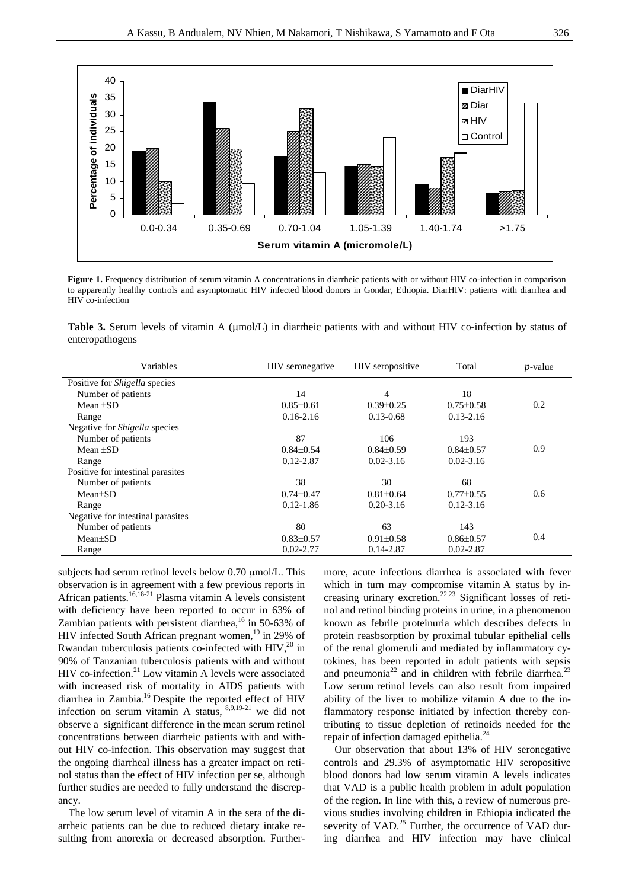

**Figure 1.** Frequency distribution of serum vitamin A concentrations in diarrheic patients with or without HIV co-infection in comparison to apparently healthy controls and asymptomatic HIV infected blood donors in Gondar, Ethiopia. DiarHIV: patients with diarrhea and HIV co-infection

**Table 3.** Serum levels of vitamin A (μmol/L) in diarrheic patients with and without HIV co-infection by status of enteropathogens

| Variables                            | HIV seronegative | HIV seropositive | Total           | $p$ -value |
|--------------------------------------|------------------|------------------|-----------------|------------|
| Positive for <i>Shigella</i> species |                  |                  |                 |            |
| Number of patients                   | 14               | 4                | 18              |            |
| Mean $\pm$ SD                        | $0.85 \pm 0.61$  | $0.39 \pm 0.25$  | $0.75 \pm 0.58$ | 0.2        |
| Range                                | $0.16 - 2.16$    | $0.13 - 0.68$    | $0.13 - 2.16$   |            |
| Negative for <i>Shigella</i> species |                  |                  |                 |            |
| Number of patients                   | 87               | 106              | 193             |            |
| Mean $\pm$ SD                        | $0.84 \pm 0.54$  | $0.84\pm0.59$    | $0.84 \pm 0.57$ | 0.9        |
| Range                                | $0.12 - 2.87$    | $0.02 - 3.16$    | $0.02 - 3.16$   |            |
| Positive for intestinal parasites    |                  |                  |                 |            |
| Number of patients                   | 38               | 30               | 68              |            |
| $Mean \pm SD$                        | $0.74 \pm 0.47$  | $0.81 \pm 0.64$  | $0.77 \pm 0.55$ | 0.6        |
| Range                                | $0.12 - 1.86$    | $0.20 - 3.16$    | $0.12 - 3.16$   |            |
| Negative for intestinal parasites    |                  |                  |                 |            |
| Number of patients                   | 80               | 63               | 143             |            |
| $Mean \pm SD$                        | $0.83 \pm 0.57$  | $0.91 \pm 0.58$  | $0.86 \pm 0.57$ | 0.4        |
| Range                                | $0.02 - 2.77$    | $0.14 - 2.87$    | $0.02 - 2.87$   |            |

subjects had serum retinol levels below 0.70 μmol/L. This observation is in agreement with a few previous reports in African patients.<sup>16,18-21</sup> Plasma vitamin A levels consistent with deficiency have been reported to occur in 63% of Zambian patients with persistent diarrhea,<sup>16</sup> in 50-63% of HIV infected South African pregnant women,<sup>19</sup> in 29% of Rwandan tuberculosis patients co-infected with  $HIV<sub>1</sub><sup>20</sup>$  in 90% of Tanzanian tuberculosis patients with and without HIV co-infection. $^{21}$  Low vitamin A levels were associated with increased risk of mortality in AIDS patients with diarrhea in Zambia.16 Despite the reported effect of HIV infection on serum vitamin A status,  $8,9,19-21$  we did not observe a significant difference in the mean serum retinol concentrations between diarrheic patients with and without HIV co-infection. This observation may suggest that the ongoing diarrheal illness has a greater impact on retinol status than the effect of HIV infection per se, although further studies are needed to fully understand the discrepancy.

The low serum level of vitamin A in the sera of the diarrheic patients can be due to reduced dietary intake resulting from anorexia or decreased absorption. Furthermore, acute infectious diarrhea is associated with fever which in turn may compromise vitamin A status by increasing urinary excretion.22,23 Significant losses of retinol and retinol binding proteins in urine, in a phenomenon known as febrile proteinuria which describes defects in protein reasbsorption by proximal tubular epithelial cells of the renal glomeruli and mediated by inflammatory cytokines, has been reported in adult patients with sepsis and pneumonia<sup>22</sup> and in children with febrile diarrhea.<sup>23</sup> Low serum retinol levels can also result from impaired ability of the liver to mobilize vitamin A due to the inflammatory response initiated by infection thereby contributing to tissue depletion of retinoids needed for the repair of infection damaged epithelia.<sup>24</sup>

Our observation that about 13% of HIV seronegative controls and 29.3% of asymptomatic HIV seropositive blood donors had low serum vitamin A levels indicates that VAD is a public health problem in adult population of the region. In line with this, a review of numerous previous studies involving children in Ethiopia indicated the severity of  $VAD$ <sup>25</sup> Further, the occurrence of  $VAD$  during diarrhea and HIV infection may have clinical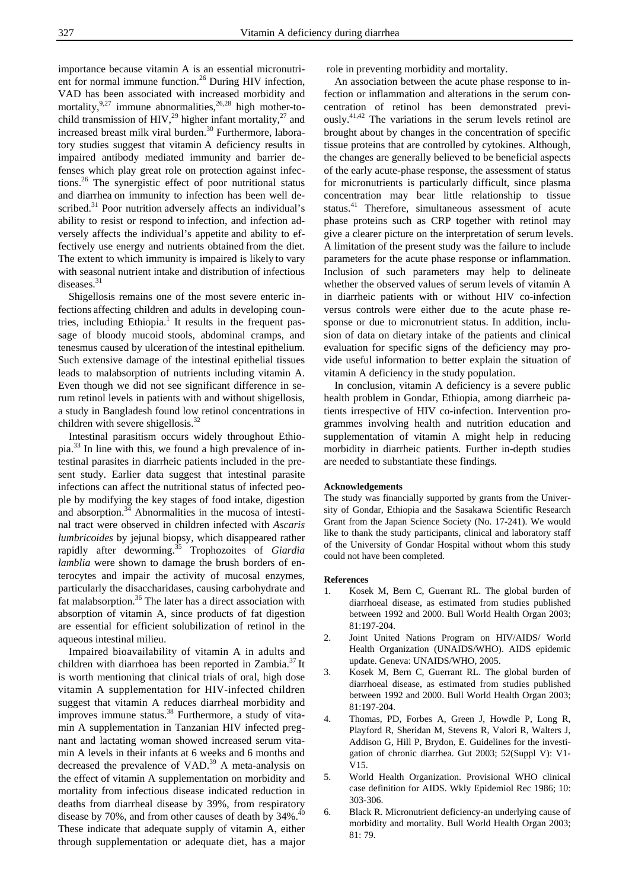importance because vitamin A is an essential micronutrient for normal immune function.<sup>26</sup> During HIV infection, VAD has been associated with increased morbidity and mortality, $9.27$  immune abnormalities, $26.28$  high mother-tochild transmission of HIV,<sup>29</sup> higher infant mortality,<sup>27</sup> and increased breast milk viral burden.<sup>30</sup> Furthermore, laboratory studies suggest that vitamin A deficiency results in impaired antibody mediated immunity and barrier defenses which play great role on protection against infections.26 The synergistic effect of poor nutritional status and diarrhea on immunity to infection has been well described.<sup>31</sup> Poor nutrition adversely affects an individual's ability to resist or respond to infection, and infection adversely affects the individual's appetite and ability to effectively use energy and nutrients obtained from the diet. The extent to which immunity is impaired is likely to vary with seasonal nutrient intake and distribution of infectious diseases.<sup>31</sup>

Shigellosis remains one of the most severe enteric infections affecting children and adults in developing countries, including Ethiopia.<sup>1</sup> It results in the frequent passage of bloody mucoid stools, abdominal cramps, and tenesmus caused by ulceration of the intestinal epithelium. Such extensive damage of the intestinal epithelial tissues leads to malabsorption of nutrients including vitamin A. Even though we did not see significant difference in serum retinol levels in patients with and without shigellosis, a study in Bangladesh found low retinol concentrations in children with severe shigellosis. $32$ 

Intestinal parasitism occurs widely throughout Ethiopia.<sup>33</sup> In line with this, we found a high prevalence of intestinal parasites in diarrheic patients included in the present study. Earlier data suggest that intestinal parasite infections can affect the nutritional status of infected people by modifying the key stages of food intake, digestion and absorption.<sup>34</sup> Abnormalities in the mucosa of intestinal tract were observed in children infected with *Ascaris lumbricoides* by jejunal biopsy, which disappeared rather rapidly after deworming.35 Trophozoites of *Giardia lamblia* were shown to damage the brush borders of enterocytes and impair the activity of mucosal enzymes, particularly the disaccharidases, causing carbohydrate and fat malabsorption.<sup>36</sup> The later has a direct association with absorption of vitamin A, since products of fat digestion are essential for efficient solubilization of retinol in the aqueous intestinal milieu.

Impaired bioavailability of vitamin A in adults and children with diarrhoea has been reported in Zambia.<sup>37</sup> It is worth mentioning that clinical trials of oral, high dose vitamin A supplementation for HIV-infected children suggest that vitamin A reduces diarrheal morbidity and improves immune status.<sup>38</sup> Furthermore, a study of vitamin A supplementation in Tanzanian HIV infected pregnant and lactating woman showed increased serum vitamin A levels in their infants at 6 weeks and 6 months and decreased the prevalence of  $VAD$ .<sup>39</sup> A meta-analysis on the effect of vitamin A supplementation on morbidity and mortality from infectious disease indicated reduction in deaths from diarrheal disease by 39%, from respiratory disease by 70%, and from other causes of death by 34%.<sup>40</sup> These indicate that adequate supply of vitamin A, either through supplementation or adequate diet, has a major

role in preventing morbidity and mortality.

An association between the acute phase response to infection or inflammation and alterations in the serum concentration of retinol has been demonstrated previously.41,42 The variations in the serum levels retinol are brought about by changes in the concentration of specific tissue proteins that are controlled by cytokines. Although, the changes are generally believed to be beneficial aspects of the early acute-phase response, the assessment of status for micronutrients is particularly difficult, since plasma concentration may bear little relationship to tissue status.<sup>41</sup> Therefore, simultaneous assessment of acute phase proteins such as CRP together with retinol may give a clearer picture on the interpretation of serum levels. A limitation of the present study was the failure to include parameters for the acute phase response or inflammation. Inclusion of such parameters may help to delineate whether the observed values of serum levels of vitamin A in diarrheic patients with or without HIV co-infection versus controls were either due to the acute phase response or due to micronutrient status. In addition, inclusion of data on dietary intake of the patients and clinical evaluation for specific signs of the deficiency may provide useful information to better explain the situation of vitamin A deficiency in the study population.

In conclusion, vitamin A deficiency is a severe public health problem in Gondar, Ethiopia, among diarrheic patients irrespective of HIV co-infection. Intervention programmes involving health and nutrition education and supplementation of vitamin A might help in reducing morbidity in diarrheic patients. Further in-depth studies are needed to substantiate these findings.

#### **Acknowledgements**

The study was financially supported by grants from the University of Gondar, Ethiopia and the Sasakawa Scientific Research Grant from the Japan Science Society (No. 17-241). We would like to thank the study participants, clinical and laboratory staff of the University of Gondar Hospital without whom this study could not have been completed.

#### **References**

- 1. Kosek M, Bern C, Guerrant RL. The global burden of diarrhoeal disease, as estimated from studies published between 1992 and 2000. Bull World Health Organ 2003; 81:197-204.
- 2. Joint United Nations Program on HIV/AIDS/ World Health Organization (UNAIDS/WHO). AIDS epidemic update. Geneva: UNAIDS/WHO, 2005.
- 3. Kosek M, Bern C, Guerrant RL. The global burden of diarrhoeal disease, as estimated from studies published between 1992 and 2000. Bull World Health Organ 2003; 81:197-204.
- 4. Thomas, PD, Forbes A, Green J, Howdle P, Long R, Playford R, Sheridan M, Stevens R, Valori R, Walters J, Addison G, Hill P, Brydon, E. Guidelines for the investigation of chronic diarrhea. Gut 2003; 52(Suppl V): V1- V15.
- 5. World Health Organization. Provisional WHO clinical case definition for AIDS. Wkly Epidemiol Rec 1986; 10: 303-306.
- 6. Black R. Micronutrient deficiency-an underlying cause of morbidity and mortality. Bull World Health Organ 2003; 81: 79.